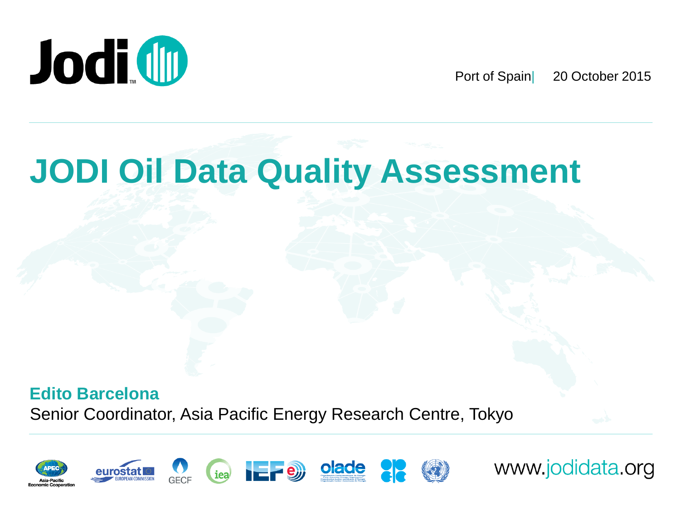

Port of Spain| 20 October 2015

## **JODI Oil Data Quality Assessment**

**Edito Barcelona** Senior Coordinator, Asia Pacific Energy Research Centre, Tokyo



www.jodidata.org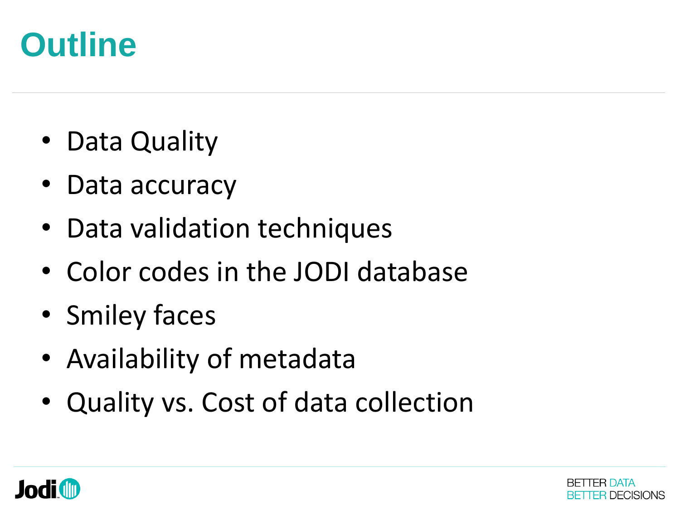## **Outline**

- Data Quality
- Data accuracy
- Data validation techniques
- Color codes in the JODI database
- Smiley faces
- Availability of metadata
- Quality vs. Cost of data collection



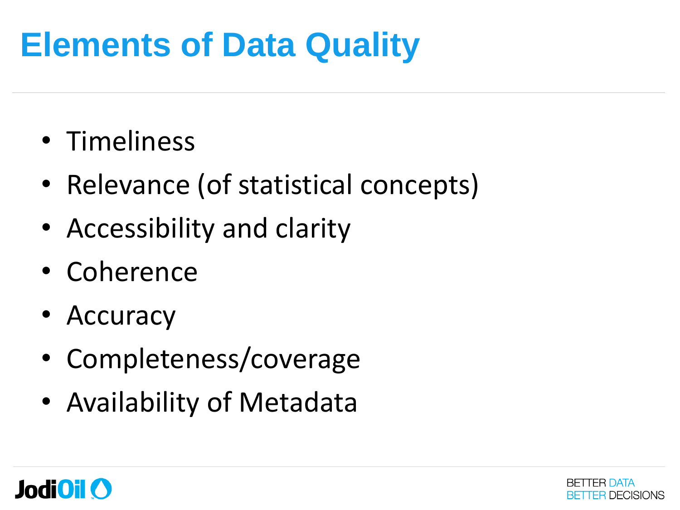## **Elements of Data Quality**

- Timeliness
- Relevance (of statistical concepts)
- Accessibility and clarity
- Coherence
- Accuracy
- Completeness/coverage
- Availability of Metadata



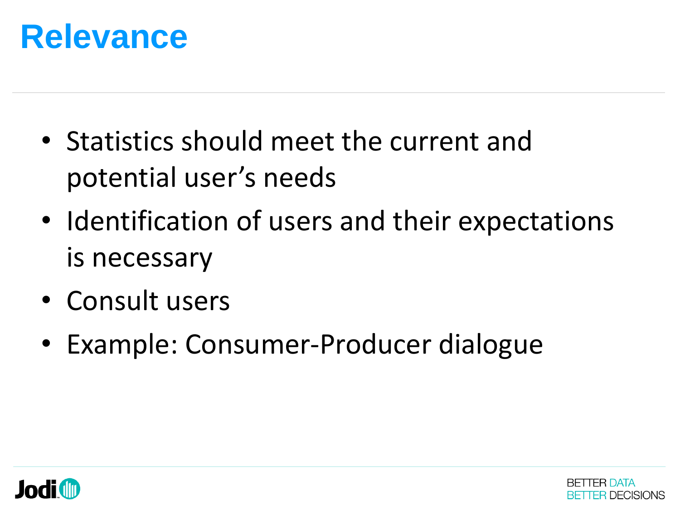

- Statistics should meet the current and potential user's needs
- Identification of users and their expectations is necessary
- Consult users
- Example: Consumer-Producer dialogue



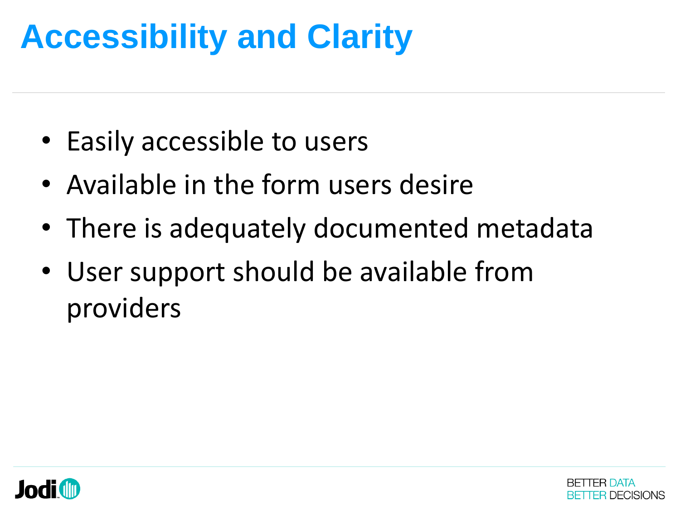# **Accessibility and Clarity**

- Easily accessible to users
- Available in the form users desire
- There is adequately documented metadata
- User support should be available from providers



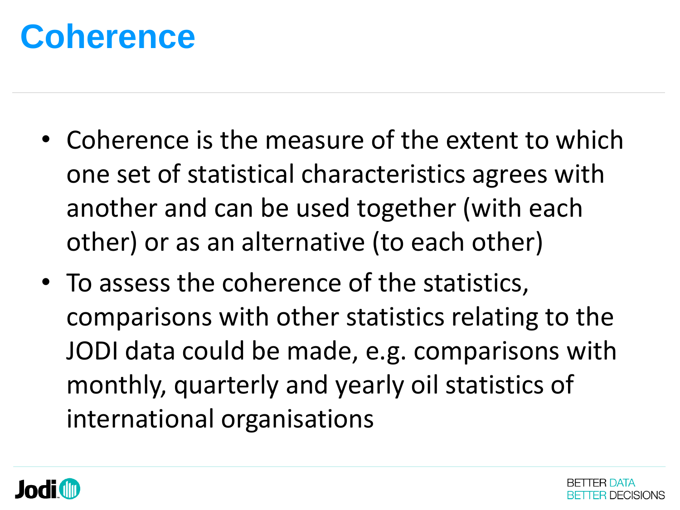## **Coherence**

- Coherence is the measure of the extent to which one set of statistical characteristics agrees with another and can be used together (with each other) or as an alternative (to each other)
- To assess the coherence of the statistics, comparisons with other statistics relating to the JODI data could be made, e.g. comparisons with monthly, quarterly and yearly oil statistics of international organisations



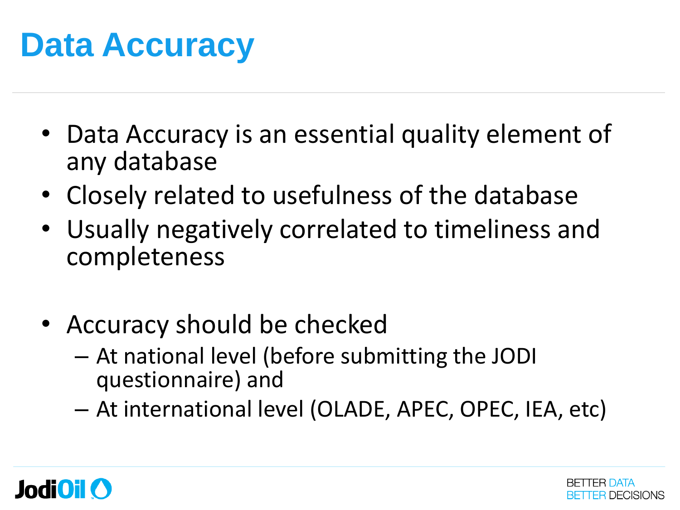## **Data Accuracy**

- Data Accuracy is an essential quality element of any database
- Closely related to usefulness of the database
- Usually negatively correlated to timeliness and completeness
- Accuracy should be checked
	- At national level (before submitting the JODI questionnaire) and
	- At international level (OLADE, APEC, OPEC, IEA, etc)



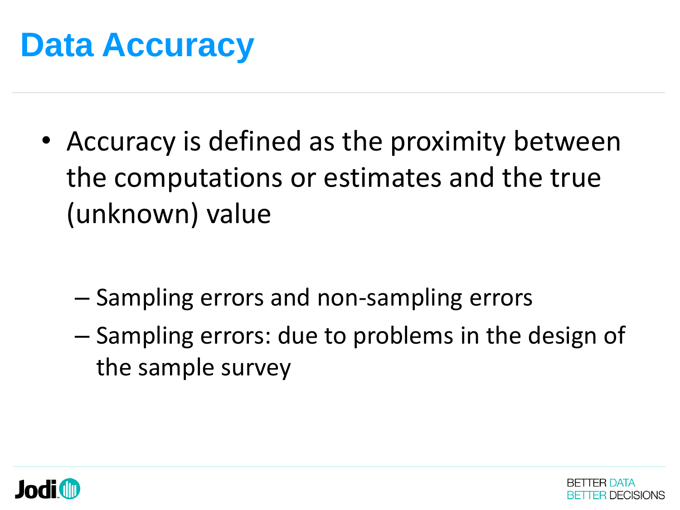

• Accuracy is defined as the proximity between the computations or estimates and the true (unknown) value

- Sampling errors and non-sampling errors
- Sampling errors: due to problems in the design of the sample survey



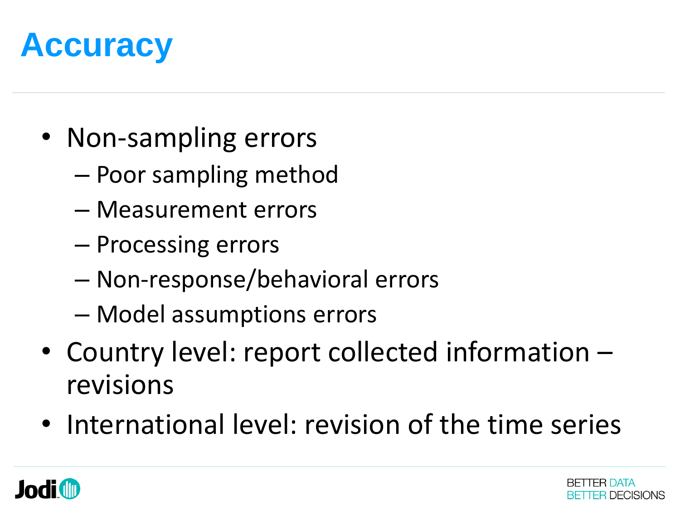

- Non-sampling errors
	- Poor sampling method
	- Measurement errors
	- Processing errors
	- Non-response/behavioral errors
	- Model assumptions errors
- Country level: report collected information revisions
- International level: revision of the time series



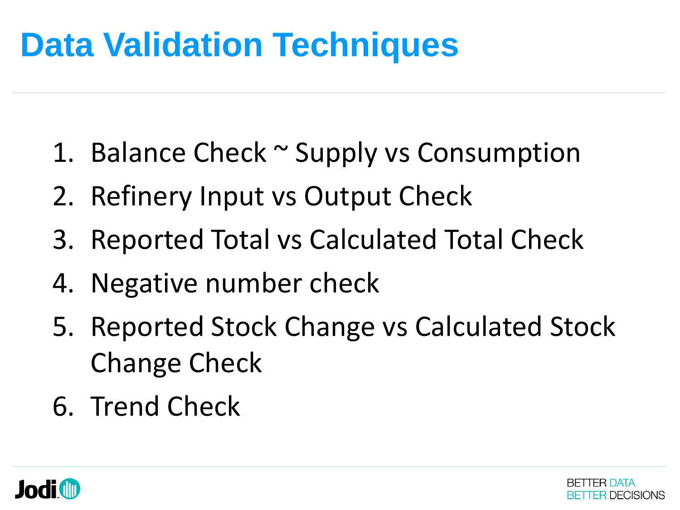- 1. Balance Check ~ Supply vs Consumption
- 2. Refinery Input vs Output Check
- 3. Reported Total vs Calculated Total Check
- 4. Negative number check
- 5. Reported Stock Change vs Calculated Stock Change Check
- 6. Trend Check



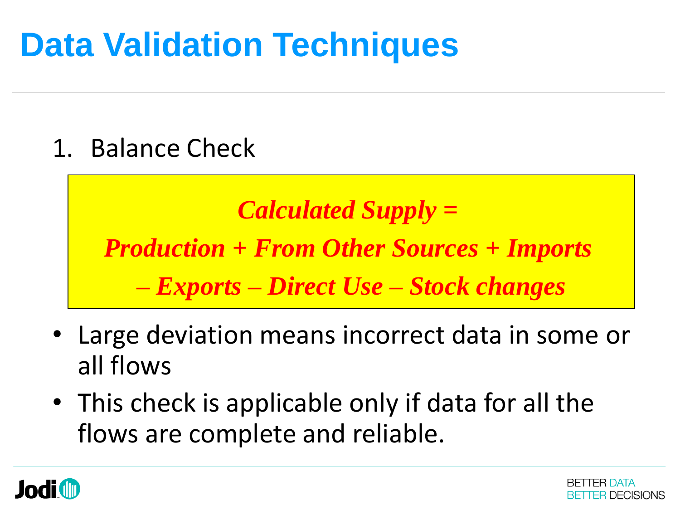1. Balance Check

*Calculated Supply = Production + From Other Sources + Imports – Exports – Direct Use – Stock changes*

- Large deviation means incorrect data in some or all flows
- This check is applicable only if data for all the flows are complete and reliable.



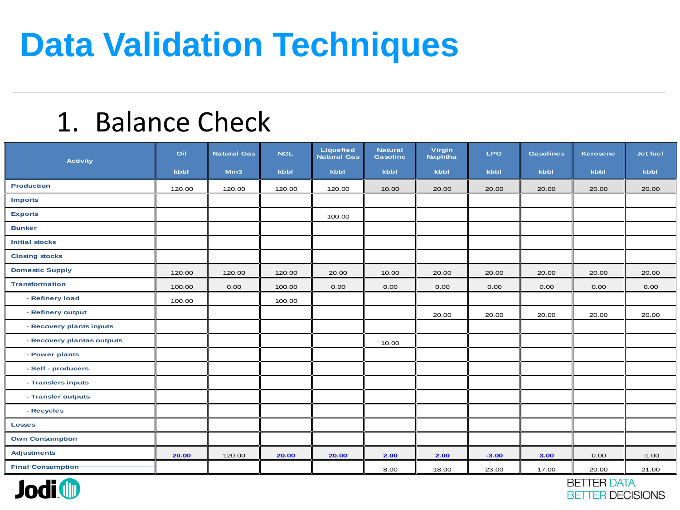#### 1. Balance Check

| <b>Activity</b>            | Oil    | <b>Natural Gas</b> | <b>NGL</b> | Liquefied<br><b>Natural Gas</b> | <b>Natural</b><br>Gasoline | Virgin<br><b>Naphtha</b> | <b>LPG</b> | <b>Gasolines</b> | <b>Kerosene</b> | Jet fuel |
|----------------------------|--------|--------------------|------------|---------------------------------|----------------------------|--------------------------|------------|------------------|-----------------|----------|
|                            | kbbl   | Mm3                | kbbl       | kbbl                            | kbbl                       | kbbl                     | kbbl       | kbbl             | kbbl            | kbbl     |
| <b>Production</b>          | 120.00 | 120.00             | 120.00     | 120.00                          | 10.00                      | 20.00                    | 20.00      | 20.00            | 20.00           | 20.00    |
| <b>Imports</b>             |        |                    |            |                                 |                            |                          |            |                  |                 |          |
| <b>Exports</b>             |        |                    |            | 100.00                          |                            |                          |            |                  |                 |          |
| <b>Bunker</b>              |        |                    |            |                                 |                            |                          |            |                  |                 |          |
| <b>Initial stocks</b>      |        |                    |            |                                 |                            |                          |            |                  |                 |          |
| <b>Closing stocks</b>      |        |                    |            |                                 |                            |                          |            |                  |                 |          |
| <b>Domestic Supply</b>     | 120.00 | 120.00             | 120.00     | 20.00                           | 10.00                      | 20.00                    | 20.00      | 20.00            | 20.00           | 20.00    |
| <b>Transformation</b>      | 100.00 | 0.00               | 100.00     | 0.00                            | 0.00                       | 0.00                     | 0.00       | 0.00             | 0.00            | 0.00     |
| - Refinery load            | 100.00 |                    | 100.00     |                                 |                            |                          |            |                  |                 |          |
| - Refinery output          |        |                    |            |                                 |                            | 20.00                    | 20.00      | 20.00            | 20.00           | 20.00    |
| - Recovery plants inputs   |        |                    |            |                                 |                            |                          |            |                  |                 |          |
| - Recovery plantas outputs |        |                    |            |                                 | 10.00                      |                          |            |                  |                 |          |
| - Power plants             |        |                    |            |                                 |                            |                          |            |                  |                 |          |
| - Self - producers         |        |                    |            |                                 |                            |                          |            |                  |                 |          |
| - Transfers inputs         |        |                    |            |                                 |                            |                          |            |                  |                 |          |
| - Transfer outputs         |        |                    |            |                                 |                            |                          |            |                  |                 |          |
| - Recycles                 |        |                    |            |                                 |                            |                          |            |                  |                 |          |
| <b>Losses</b>              |        |                    |            |                                 |                            |                          |            |                  |                 |          |
| <b>Own Consumption</b>     |        |                    |            |                                 |                            |                          |            |                  |                 |          |
| <b>Adjustments</b>         | 20.00  | 120.00             | 20.00      | 20.00                           | 2.00                       | 2.00                     | $-3.00$    | 3.00             | 0.00            | $-1.00$  |
| <b>Final Consumption</b>   |        |                    |            |                                 | 8.00                       | 18.00                    | 23.00      | 17.00            | 20.00           | 21.00    |



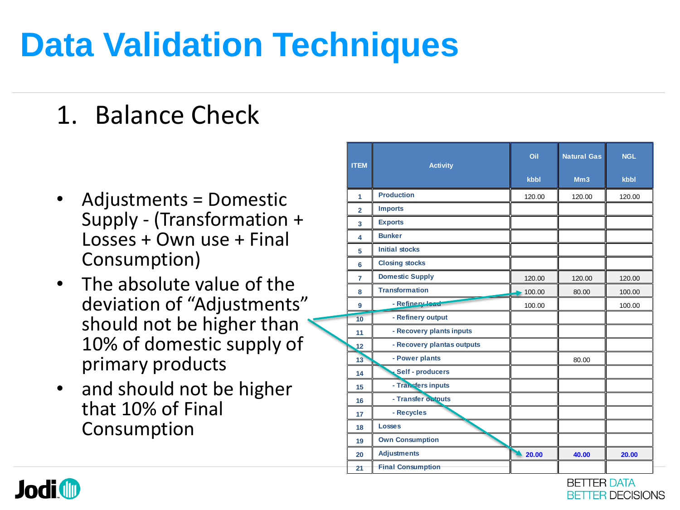## 1. Balance Check

- Adjustments = Domestic Supply - (Transformation + Losses + Own use + Final Consumption)
- The absolute value of the deviation of "Adjustments" should not be higher than 10% of domestic supply of primary products
- and should not be higher that 10% of Final Consumption

| <b>ITEM</b>    | <b>Activity</b>            | Oil<br>kbbl | <b>Natural Gas</b><br>Mm3 | <b>NGL</b><br>kbbl |
|----------------|----------------------------|-------------|---------------------------|--------------------|
| 1              | <b>Production</b>          | 120.00      | 120.00                    | 120.00             |
| $\overline{2}$ | <b>Imports</b>             |             |                           |                    |
| 3              | <b>Exports</b>             |             |                           |                    |
| 4              | <b>Bunker</b>              |             |                           |                    |
| 5              | <b>Initial stocks</b>      |             |                           |                    |
| 6              | <b>Closing stocks</b>      |             |                           |                    |
| $\overline{7}$ | <b>Domestic Supply</b>     | 120.00      | 120.00                    | 120.00             |
| 8              | <b>Transformation</b>      | 100.00      | 80.00                     | 100.00             |
| 9              | - Refinery Joan            | 100.00      |                           | 100.00             |
| 10             | - Refinery output          |             |                           |                    |
| 11             | - Recovery plants inputs   |             |                           |                    |
| 12             | - Recovery plantas outputs |             |                           |                    |
| 13             | - Power plants             |             | 80.00                     |                    |
| 14             | Self - producers           |             |                           |                    |
| 15             | - Transfers inputs         |             |                           |                    |
| 16             | - Transfer outputs         |             |                           |                    |
| 17             | - Recycles                 |             |                           |                    |
| 18             | <b>Losses</b>              |             |                           |                    |
| 19             | <b>Own Consumption</b>     |             |                           |                    |
| 20             | <b>Adjustments</b>         | 20.00       | 40.00                     | 20.00              |
| 21             | <b>Final Consumption</b>   |             |                           |                    |

BETTER DATA

BETTER DECISIONS

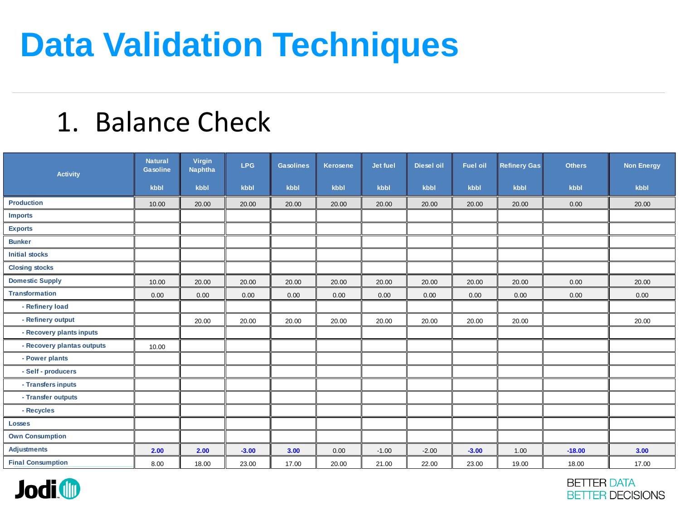#### 1. Balance Check

| <b>Activity</b>            | <b>Natural</b><br>Gasoline | <b>Virgin</b><br><b>Naphtha</b> | <b>LPG</b> | <b>Gasolines</b> | Kerosene | Jet fuel | <b>Diesel oil</b> | <b>Fuel oil</b> | <b>Refinery Gas</b> | <b>Others</b> | <b>Non Energy</b> |
|----------------------------|----------------------------|---------------------------------|------------|------------------|----------|----------|-------------------|-----------------|---------------------|---------------|-------------------|
|                            | kbbl                       | kbbl                            | kbbl       | kbbl             | kbbl     | kbbl     | kbbl              | kbbl            | kbbl                | kbbl          | kbbl              |
| <b>Production</b>          | 10.00                      | 20.00                           | 20.00      | 20.00            | 20.00    | 20.00    | 20.00             | 20.00           | 20.00               | 0.00          | 20.00             |
| <b>Imports</b>             |                            |                                 |            |                  |          |          |                   |                 |                     |               |                   |
| <b>Exports</b>             |                            |                                 |            |                  |          |          |                   |                 |                     |               |                   |
| <b>Bunker</b>              |                            |                                 |            |                  |          |          |                   |                 |                     |               |                   |
| <b>Initial stocks</b>      |                            |                                 |            |                  |          |          |                   |                 |                     |               |                   |
| <b>Closing stocks</b>      |                            |                                 |            |                  |          |          |                   |                 |                     |               |                   |
| <b>Domestic Supply</b>     | 10.00                      | 20.00                           | 20.00      | 20.00            | 20.00    | 20.00    | 20.00             | 20.00           | 20.00               | 0.00          | 20.00             |
| <b>Transformation</b>      | 0.00                       | 0.00                            | 0.00       | 0.00             | 0.00     | 0.00     | 0.00              | 0.00            | 0.00                | 0.00          | 0.00              |
| - Refinery load            |                            |                                 |            |                  |          |          |                   |                 |                     |               |                   |
| - Refinery output          |                            | 20.00                           | 20.00      | 20.00            | 20.00    | 20.00    | 20.00             | 20.00           | 20.00               |               | 20.00             |
| - Recovery plants inputs   |                            |                                 |            |                  |          |          |                   |                 |                     |               |                   |
| - Recovery plantas outputs | 10.00                      |                                 |            |                  |          |          |                   |                 |                     |               |                   |
| - Power plants             |                            |                                 |            |                  |          |          |                   |                 |                     |               |                   |
| - Self - producers         |                            |                                 |            |                  |          |          |                   |                 |                     |               |                   |
| - Transfers inputs         |                            |                                 |            |                  |          |          |                   |                 |                     |               |                   |
| - Transfer outputs         |                            |                                 |            |                  |          |          |                   |                 |                     |               |                   |
| - Recycles                 |                            |                                 |            |                  |          |          |                   |                 |                     |               |                   |
| <b>Losses</b>              |                            |                                 |            |                  |          |          |                   |                 |                     |               |                   |
| <b>Own Consumption</b>     |                            |                                 |            |                  |          |          |                   |                 |                     |               |                   |
| <b>Adjustments</b>         | 2.00                       | 2.00                            | $-3.00$    | 3.00             | 0.00     | $-1.00$  | $-2.00$           | $-3.00$         | 1.00                | $-18.00$      | 3.00              |
| <b>Final Consumption</b>   | 8.00                       | 18.00                           | 23.00      | 17.00            | 20.00    | 21.00    | 22.00             | 23.00           | 19.00               | 18.00         | 17.00             |



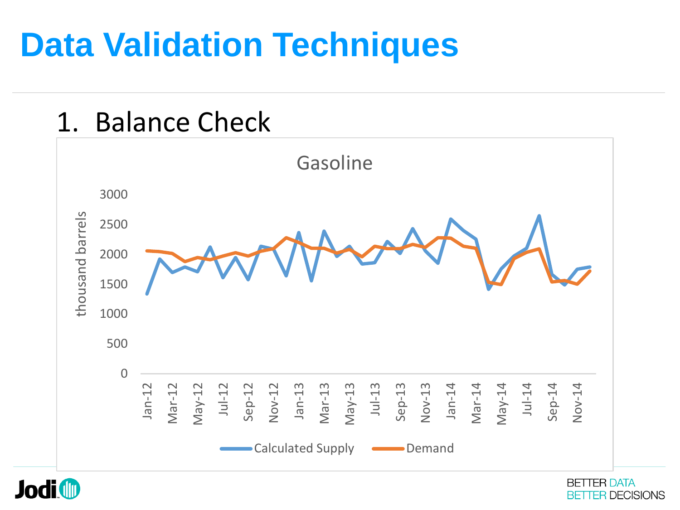

**Jodi ID** 

**BETTER DATA BETTER DECISIONS**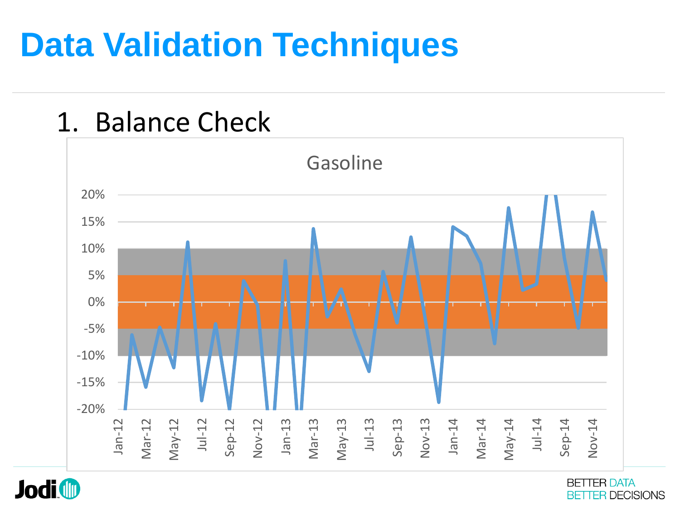

**Jodi D** 

**BETTER DATA BETTER DECISIONS**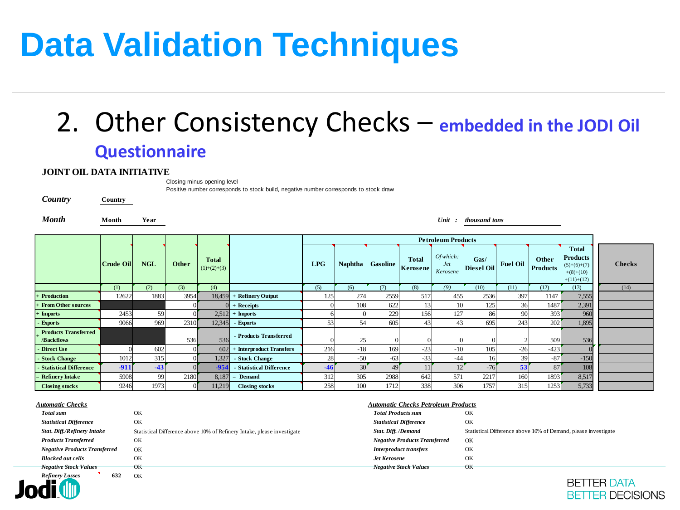#### 2. Other Consistency Checks – **embedded in the JODI Oil Questionnaire**

#### **JOINT OIL DATA INITIATIVE**

Closing minus opening level

[Positive number corresponds to stock build, negative number corresponds to stock draw](../Maxi JODI Format.xls)

*Country* **Country**

*Month* **Month Year** *Unit : thousand tons*

|                                           |           |            |       |                               |                          | <b>Petroleum Products</b> |       |                  |                          |                                     |                           |                 |                          |                                                                                 |               |
|-------------------------------------------|-----------|------------|-------|-------------------------------|--------------------------|---------------------------|-------|------------------|--------------------------|-------------------------------------|---------------------------|-----------------|--------------------------|---------------------------------------------------------------------------------|---------------|
|                                           | Crude Oil | <b>NGL</b> | Other | <b>Total</b><br>$(1)+(2)+(3)$ |                          | <b>LPG</b>                |       | Naphtha Gasoline | <b>Total</b><br>Kerosene | Of which:<br><i>Jet</i><br>Kerosene | Gas/<br><b>Diesel Oil</b> | <b>Fuel Oil</b> | Other<br><b>Products</b> | <b>Total</b><br><b>Products</b><br>$(5)+(6)+(7)$<br>$+(8)+(10)$<br>$+(11)+(12)$ | <b>Checks</b> |
|                                           | (1)       | (2)        | (3)   | (4)                           |                          | (5)                       | (6)   | (7)              | (8)                      | (9)                                 | (10)                      | (11)            | (12)                     | (13)                                                                            | (14)          |
| <b>Production</b>                         | 12622     | 1883       | 3954  | 18,459                        | + Refinery Output        | 125                       | 274   | 2559             | 517                      | 455                                 | 2536                      | 397             | 1147                     | 7,555                                                                           |               |
| <b>From Other sources</b>                 |           |            |       |                               | $+$ Receipts             |                           | 108   | 622              |                          | 10                                  | 125                       | 36              | 1487                     | 2,391                                                                           |               |
| <b>Imports</b>                            | 2453      | 59         |       | 2,512                         | $+$ Imports              |                           |       | 229              | 156                      | 127                                 | 86                        | 90              | 393                      | 960                                                                             |               |
| - Exports                                 | 9066      | 969        | 2310  | 12,345                        | - Exports                | 53                        | 54    | 605              |                          | 43                                  | 695                       | 243             | 202                      | 1,895                                                                           |               |
| <b>Products Transferred</b><br>/Backflows |           |            | 536   | 536                           | - Products Transferred   |                           | 25    |                  |                          |                                     |                           |                 | 509                      | 536                                                                             |               |
| <b>Direct Use</b>                         |           | 602        |       | 602                           | + Interproduct Transfers | 216                       | $-18$ | 169              | $-23$                    | $-10$                               | 105                       | $-26$           | $-423$                   |                                                                                 |               |
| <b>Stock Change</b>                       | 1012      | 315        |       | 1,327                         | - Stock Change           | 28                        | $-50$ | $-63$            | $-33$                    | -44                                 |                           |                 | $-87$                    | $-150$                                                                          |               |
| <b>Statistical Difference</b>             | $-911$    | -43        |       | $-954$                        | - Statistical Difference | -46                       |       | 49               |                          |                                     | $-76$                     | 53              | 87                       | 108                                                                             |               |
| <b>Refinery Intake</b>                    | 5908      | 99         | 2180  | 8,187                         | $=$ Demand               | 312                       | 305   | 2988             | 642                      | 571                                 | 2217                      | 160             | 1893                     | 8,517                                                                           |               |
| <b>Closing stocks</b>                     | 9246      | 1973       |       | 11,219                        | <b>Closing stocks</b>    | 258                       | 100   | 1712             | 338                      | 306                                 | 1757                      | 315             | 1253                     | 5,733                                                                           |               |

| Automatic Checks |  |
|------------------|--|
|                  |  |

**Jodi** 

| <b>Closing stocks</b>                | 9246 | 1973     | 11,219 | <b>Closing stocks</b>                                                   | 258 | 100 | 1712                                       | 338                                  | 306 | 1757                                                           | 315 | 1253 | 5,733 |  |  |
|--------------------------------------|------|----------|--------|-------------------------------------------------------------------------|-----|-----|--------------------------------------------|--------------------------------------|-----|----------------------------------------------------------------|-----|------|-------|--|--|
|                                      |      |          |        |                                                                         |     |     |                                            |                                      |     |                                                                |     |      |       |  |  |
| <b>Automatic Checks</b>              |      |          |        |                                                                         |     |     | <b>Automatic Checks Petroleum Products</b> |                                      |     |                                                                |     |      |       |  |  |
| Total sum                            |      | OK       |        |                                                                         |     |     | <b>Total Products sum</b>                  |                                      |     | OK                                                             |     |      |       |  |  |
| <b>Statistical Difference</b>        |      | OK       |        |                                                                         |     |     | <b>Statistical Difference</b>              |                                      |     | OK                                                             |     |      |       |  |  |
| <b>Stat. Diff./Refinery Intake</b>   |      |          |        | Statistical Difference above 10% of Refinery Intake, please investigate |     |     | Stat. Diff. /Demand                        |                                      |     | Statistical Difference above 10% of Demand, please investigate |     |      |       |  |  |
| <b>Products Transferred</b>          |      | OK       |        |                                                                         |     |     |                                            | <b>Negative Products Transferred</b> |     | OK                                                             |     |      |       |  |  |
| <b>Negative Products Transferred</b> |      | OK       |        |                                                                         |     |     |                                            | <b>Interproduct transfers</b>        |     | OK                                                             |     |      |       |  |  |
| <b>Blocked out cells</b>             |      | OK       |        |                                                                         |     |     | <b>Jet Kerosene</b>                        |                                      |     | OK                                                             |     |      |       |  |  |
| <b>Negative Stock Values</b>         |      | $\alpha$ |        |                                                                         |     |     |                                            | <b>Negative Stock Values</b>         |     | OK                                                             |     |      |       |  |  |
| <b>Refinery Losses</b>               | 632  | OK       |        |                                                                         |     |     |                                            |                                      |     |                                                                |     |      |       |  |  |

#### *Automatic Checks Automatic Checks Petroleum Products*

| <b>Total Products sum</b>            | OК                                                             |
|--------------------------------------|----------------------------------------------------------------|
| <b>Statistical Difference</b>        | OК                                                             |
| Stat. Diff. /Demand                  | Statistical Difference above 10% of Demand, please investigate |
| <b>Negative Products Transferred</b> | OК                                                             |
| <b>Interproduct transfers</b>        | OК                                                             |
| <b>Jet Kerosene</b>                  | OК                                                             |
| <b>Negative Stock Values</b>         | OK                                                             |

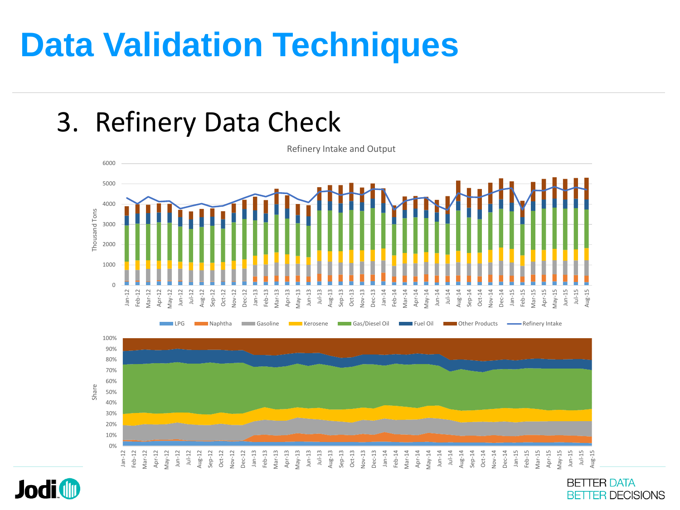#### 3. Refinery Data Check

**Jodi ID** 



**BETTER DATA BETTER DECISIONS**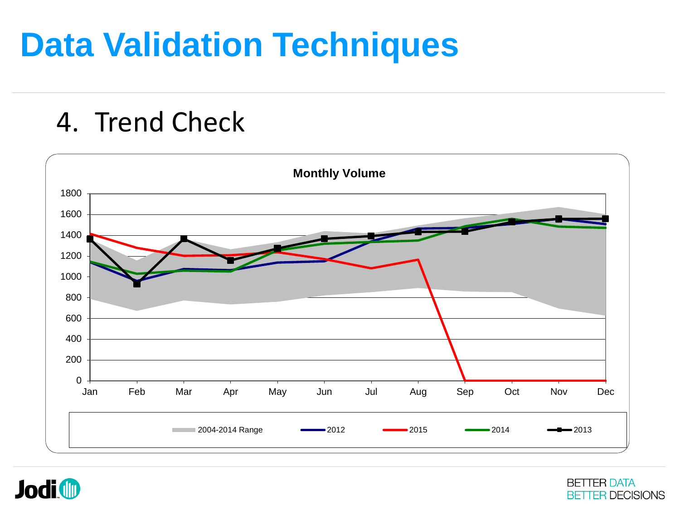#### 4. Trend Check





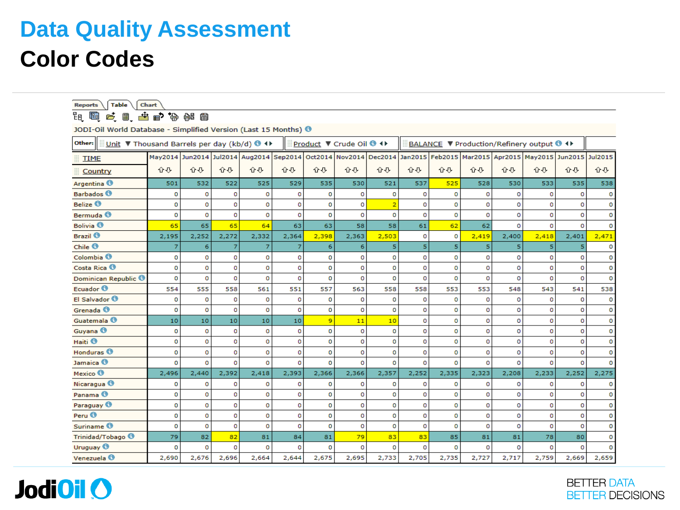| <b>Chart</b><br><b>Table</b><br><b>Reports</b>                             |             |             |             |                                                                                                                         |             |             |                        |                |                |             |          |             |                                         |          |             |
|----------------------------------------------------------------------------|-------------|-------------|-------------|-------------------------------------------------------------------------------------------------------------------------|-------------|-------------|------------------------|----------------|----------------|-------------|----------|-------------|-----------------------------------------|----------|-------------|
| 甩<br>阳                                                                     | 6.8.齿户协战目   |             |             |                                                                                                                         |             |             |                        |                |                |             |          |             |                                         |          |             |
| JODI-Oil World Database - Simplified Version (Last 15 Months) <sup>0</sup> |             |             |             |                                                                                                                         |             |             |                        |                |                |             |          |             |                                         |          |             |
| Other:<br>Unit $\nabla$ Thousand Barrels per day (kb/d) $\Theta$ +         |             |             |             |                                                                                                                         |             |             | Product ▼ Crude Oil ++ |                |                |             |          |             | BALANCE ▼ Production/Refinery output ++ |          |             |
| <b>TIME</b>                                                                |             |             |             | May2014 Jun2014 Jul2014 Aug2014 Sep2014 Oct2014 Nov2014 Dec2014 Jan2015 Feb2015 Mar2015 Apr2015 May2015 Jun2015 Jul2015 |             |             |                        |                |                |             |          |             |                                         |          |             |
| Country                                                                    | 企び          | 心心          | 心む          | 心心                                                                                                                      | 쇼관          | 企び          | 心む                     | 心む             | 分号             | 쇼광          | 슈용       | 쇼광          | 心む                                      | 心む       | 心心          |
| Argentina <sup>®</sup>                                                     | 501         | 532         | 522         | 525                                                                                                                     | 529         | 535         | 530                    | 521            | 537            | 525         | 528      | 530         | 533                                     | 535      | 538         |
| <b>Barbados</b>                                                            | $\circ$     | $\circ$     | 0           | o                                                                                                                       | 0           | $\circ$     | $\Omega$               | 0              | o              | 0           | $\Omega$ | $\circ$     | 0                                       | o        | o           |
| Belize <sup>0</sup>                                                        | o           | $\circ$     | $\mathbf 0$ | $\overline{0}$                                                                                                          | $\mathbf 0$ | $\mathbf 0$ | o                      | $\overline{2}$ | $\mathbf 0$    | $\mathbf 0$ | o        | $\mathbf 0$ | $\Omega$                                | o        | $\mathbf 0$ |
| Bermuda <sup>6</sup>                                                       | 0           | o           | 0           | $\Omega$                                                                                                                | 0           | $\mathbf 0$ | O                      | o              | o              | $\circ$     | o        | o           | 0                                       | o        | $\circ$     |
| Bolivia <sup>6</sup>                                                       | 65          | 65          | 65          | 64                                                                                                                      | 63          | 63          | 58                     | 58             | 61             | 62          | 62       | ō           | $\Omega$                                | o        | $\Omega$    |
| <b>Brazil ®</b>                                                            | 2,195       | 2,252       | 2,272       | 2,332                                                                                                                   | 2,364       | 2,398       | 2,363                  | 2,503          | o              | $\circ$     | 2,419    | 2,400       | 2,418                                   | 2,401    | 2,471       |
| Chile <sup>®</sup>                                                         | 7           | 6           | 7           | 7                                                                                                                       | 7           | 6           | 6                      | 5              | 5 <sup>1</sup> | 5           | 5        | 5           | 5                                       | 5        | o           |
| Colombia <sup>6</sup>                                                      | 0           | o           | 0           | $\circ$                                                                                                                 | 0           | 0           | o                      | o              | o              | o           | о        | o           | 0                                       | о        | о           |
| Costa Rica <sup>®</sup>                                                    | o           | o           | o           | $\circ$                                                                                                                 | 0           | $\mathbf 0$ | o                      | $\mathbf 0$    | o              | o           | o        | $\circ$     | o                                       | o        | o           |
| Dominican Republic <sup>®</sup>                                            | $\circ$     | $\mathbf 0$ | o           | $\overline{0}$                                                                                                          | 0           | $\mathbf 0$ | o                      | $\overline{0}$ | o              | $\circ$     | o        | o           | 0                                       | o        | o           |
| Ecuador <sup>®</sup>                                                       | 554         | 555         | 558         | 561                                                                                                                     | 551         | 557         | 563                    | 558            | 558            | 553         | 553      | 548         | 543                                     | 541      | 538         |
| El Salvador <sup>®</sup>                                                   | $\mathbf 0$ | $\mathbf 0$ | $\circ$     | $\overline{0}$                                                                                                          | 0           | $\mathbf 0$ | $\circ$                | $\overline{0}$ | o              | o           | o        | $\circ$     | $\mathbf{0}$                            | o        | $\circ$     |
| Grenada <sup>6</sup>                                                       | $\circ$     | o           | $\mathbf 0$ | $\overline{0}$                                                                                                          | $\mathbf 0$ | O           | $\circ$                | $\mathbf 0$    | $\mathbf 0$    | $\mathbf 0$ | o        | $\circ$     | o                                       | o        | 0           |
| Guatemala <sup>6</sup>                                                     | 10          | 10          | 10          | 10                                                                                                                      | 10          | 9           | 11                     | 10             | o              | $\circ$     | o        | o           | $\mathbf 0$                             | o        | o           |
| Guyana <sup>6</sup>                                                        | $\circ$     | o           | $\circ$     | o                                                                                                                       | 0           | O           | 0                      | $\mathbf 0$    | $\mathbf 0$    | 0           | o        | $\circ$     | 0                                       | o        | $\circ$     |
| Haiti <sup>6</sup>                                                         | 0           | o           | 0           | $\Omega$                                                                                                                | 0           | $\mathbf 0$ | o                      | $\circ$        | o              | o           | o        | $\mathbf 0$ | 0                                       | o        | O           |
| Honduras <sup>O</sup>                                                      | $\circ$     | $\mathbf 0$ | 0           | o                                                                                                                       | 0           | o           | o                      | $\mathbf 0$    | 0              | $\mathbf 0$ | o        | o           | 0                                       | o        | o           |
| Jamaica <sup>®</sup>                                                       | $\circ$     | $\mathbf 0$ | $\mathbf 0$ | o                                                                                                                       | 0           | $\circ$     | o                      | $\circ$        | o              | $\circ$     | o        | $\mathbf 0$ | $\mathbf{0}$                            | o        | $\Omega$    |
| Mexico <sup>®</sup>                                                        | 2,496       | 2,440       | 2,392       | 2,418                                                                                                                   | 2,393       | 2,366       | 2,366                  | 2,357          | 2,252          | 2,335       | 2,323    | 2,208       | 2,233                                   | 2,252    | 2,275       |
| Nicaragua <sup>®</sup>                                                     | 0           | o           | o           | о                                                                                                                       | 0           | $\circ$     | о                      | o              | о              | o           | o        | $\circ$     | 0                                       | о        | о           |
| Panama <sup>O</sup>                                                        | o           | 0           | $\circ$     | $\overline{0}$                                                                                                          | 0           | $\circ$     | o                      | $\circ$        | o              | o           | o        | $\circ$     | o                                       | o        | o           |
| Paraguay <sup>®</sup>                                                      | o           | $\circ$     | 0           | $\overline{0}$                                                                                                          | 0           | O           | o                      | O              | o              | o           | o        | o           | 0                                       | o        | o           |
| Peru <sup>6</sup>                                                          | o           | $\mathbf 0$ | $\circ$     | $\circ$                                                                                                                 | 0           | $\circ$     | o                      | O              | o              | $\circ$     | o        | $\circ$     | o                                       | o        | o           |
| Suriname <sup>®</sup>                                                      | $\mathbf 0$ | $\circ$     | $\Omega$    | $\overline{0}$                                                                                                          | $\Omega$    | $\circ$     | $\Omega$               | $\circ$        | $\Omega$       | $\circ$     | $\Omega$ | $\circ$     | $\alpha$                                | o        | $\mathbf 0$ |
| Trinidad/Tobago <sup>6</sup>                                               | 79          | 82          | 82          | 81                                                                                                                      | 84          | 81          | 79                     | 83             | 83             | 85          | 81       | 81          | 78                                      | 80       | o           |
| Uruguay <sup><sup>6</sup></sup>                                            | o           | $\Omega$    | $\Omega$    | o                                                                                                                       | 0           | $\Omega$    | o                      | $\Omega$       | o              | $\Omega$    | o        | o           | $\Omega$                                | $\Omega$ | $\circ$     |
| Venezuela <sup>6</sup>                                                     | 2,690       | 2,676       | 2,696       | 2,664                                                                                                                   | 2,644       | 2,675       | 2,695                  | 2,733          | 2,705          | 2,735       | 2,727    | 2,717       | 2,759                                   | 2,669    | 2,659       |



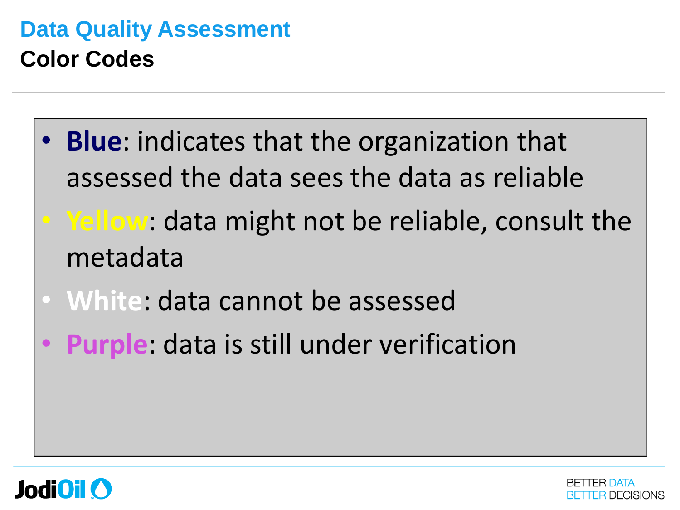- **Blue**: indicates that the organization that assessed the data sees the data as reliable
- **Yellow**: data might not be reliable, consult the metadata
- **White**: data cannot be assessed
- **Purple**: data is still under verification



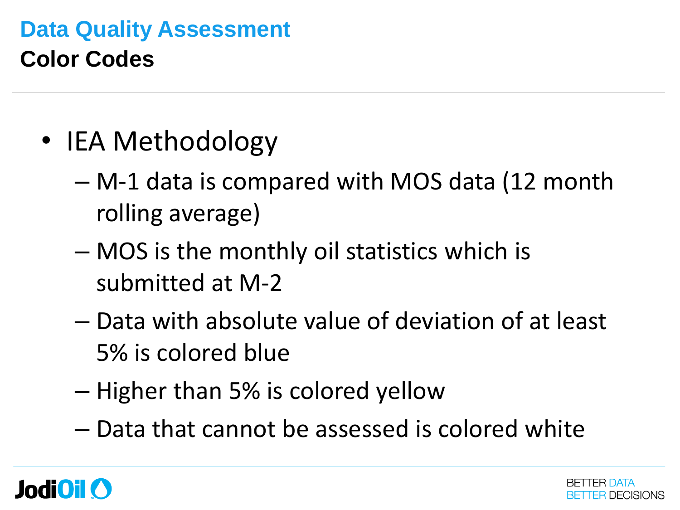- IEA Methodology
	- M-1 data is compared with MOS data (12 month rolling average)
	- MOS is the monthly oil statistics which is submitted at M-2
	- Data with absolute value of deviation of at least 5% is colored blue
	- Higher than 5% is colored yellow
	- Data that cannot be assessed is colored white

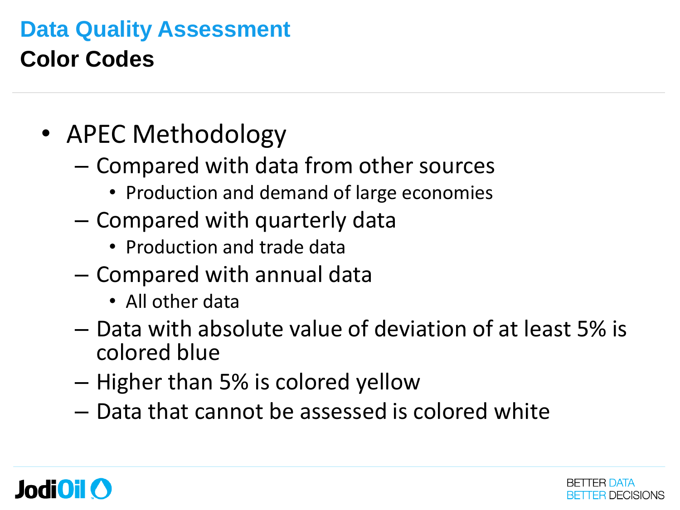- APEC Methodology
	- Compared with data from other sources
		- Production and demand of large economies
	- Compared with quarterly data
		- Production and trade data
	- Compared with annual data
		- All other data
	- Data with absolute value of deviation of at least 5% is colored blue
	- Higher than 5% is colored yellow
	- Data that cannot be assessed is colored white



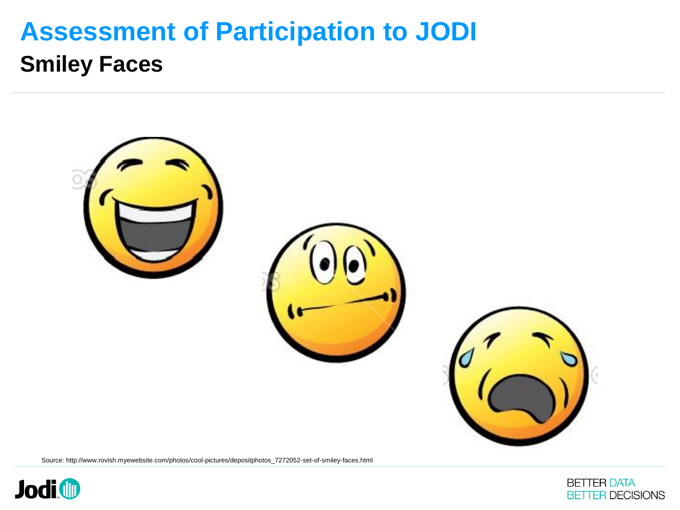

Source: http://www.rovish.myewebsite.com/photos/cool-pictures/depositphotos\_7272052-set-of-smiley-faces.html



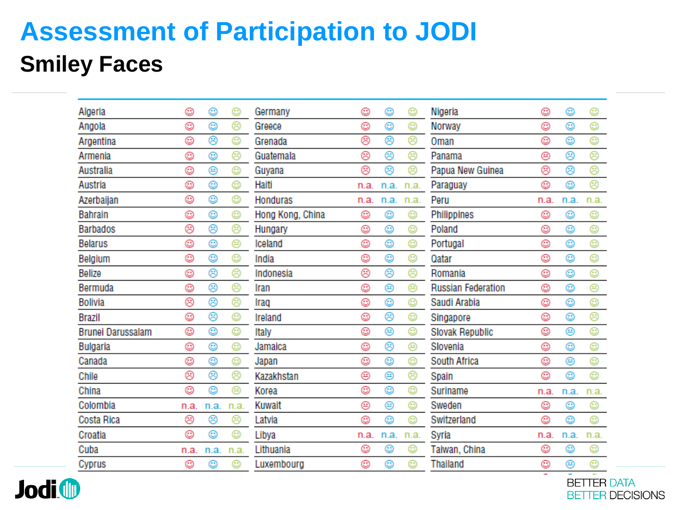| Algeria                  | ☺    | ☺    | O    | Germany          | ☺    | ☺    | ☺    | Nigeria                   | ☺    | ☺    | ☺    |
|--------------------------|------|------|------|------------------|------|------|------|---------------------------|------|------|------|
| Angola                   | ٥    | ٥    | ⊛    | Greece           | ☺    | O    | o    | Norway                    | ☺    | ٨    | ☺    |
| Argentina                | ٥    | ⊛    | o    | Grenada          | ⊛    | ⊛    | ☺    | Oman                      | ☺    | ☺    | o    |
| Armenia                  | ٥    | ٥    | ශි   | Guatemala        | ⊛    | ☺    | ම    | Panama                    | ⊛    | ⊛    | ම    |
| Australia                | ٥    | ⊜    | o    | Guyana           | ⊛    | ⊛    | ⊛    | Papua New Guinea          | ⊛    | ⊛    | ⊛    |
| Austria                  | ☺    | ٨    | o    | Haiti            | n.a. | n.a. | n.a. | Paraguay                  | ☺    | ٨    | ඖ    |
| Azerbaijan               | ☺    | ☺    | ☺    | <b>Honduras</b>  | n.a. | n.a. | n.a. | Peru                      | n.a. | n.a. | n.a. |
| <b>Bahrain</b>           | ٥    | ٨    | o    | Hong Kong, China | ☺    | ☺    | ☺    | Philippines               | ☺    | ☺    | ☺    |
| <b>Barbados</b>          | ⊛    | ⊛    | ඖ    | Hungary          | ☺    | ☺    | ☺    | Poland                    | ☺    | ☺    | ☺    |
| <b>Belarus</b>           | ٥    | ☺    | ⊜    | Iceland          | ☺    | ☺    | ☺    | Portugal                  | ☺    | ٥    | o    |
| Belgium                  | o    | ٥    | o    | India            | o    | o    | o    | Qatar                     | o    | O    | 0    |
| <b>Belize</b>            | ٥    | ⊛    | ®    | Indonesia        | ම    | ⊛    | ඖ    | Romania                   | o    | o    | o    |
| Bermuda                  | ٥    | ⊛    | ෂි   | Iran             | o    | ⊜    | ⊜    | <b>Russian Federation</b> | o    | ٥    | Θ    |
| <b>Bolivia</b>           | ⊛    | ම    | ම    | Iraq             | o    | o    | o    | Saudi Arabia              | ☺    | ٥    | o    |
| <b>Brazil</b>            | ٥    | ☺    | o    | Ireland          | o    | ⊛    | o    | Singapore                 | o    | ٨    | ම    |
| <b>Brunei Darussalam</b> | ☺    | ☺    | o    | <b>Italy</b>     | ☺    | ⊜    | ☺    | <b>Slovak Republic</b>    | ☺    | ⊛    | o    |
| Bulgaria                 | ٥    | O    | o    | Jamaica          | o    | ම    | ⊜    | Slovenia                  | o    | ٨    | ☺    |
| Canada                   | ☺    | ٨    | o    | Japan            | ☺    | ☺    | ☺    | South Africa              | ☺    | ⊛    | o    |
| Chile                    | ⊛    | ⊛    | ඖ    | Kazakhstan       | ⊛    | ⊜    | ☺    | Spain                     | O    | ٨    | o    |
| China                    | ٥    | ٨    | ⊜    | Korea            | ☺    | ☺    | O    | Suriname                  | n.a. | n.a. | n.a. |
| Colombia                 | n.a. | n.a. | n.a. | <b>Kuwait</b>    | ⊛    | ⊜    | o    | Sweden                    | ☺    | ٥    | ☺    |
| Costa Rica               | ☺    | ⊛    | ඖ    | Latvia           | ☺    | o    | o    | Switzerland               | ☺    | ☺    | o    |
| Croatia                  | ٥    | ٥    | o    | Libya            | n.a. | n.a. | n.a. | Syria                     | n.a. | n.a. | n.a. |
| Cuba                     | n.a. | n.a. | n.a. | Lithuania        | ☺    | ☺    | ☺    | Taiwan, China             | ☺    | ☺    | ☺    |
| Cyprus                   | ☺    | ☺    | o    | Luxembourg       | ☺    | o    | o    | Thailand                  | ☺    | ⊜    | o    |
|                          |      |      |      |                  |      |      |      |                           |      |      |      |

**Jodi ID** 

**BETTER DATA BETTER DECISIONS**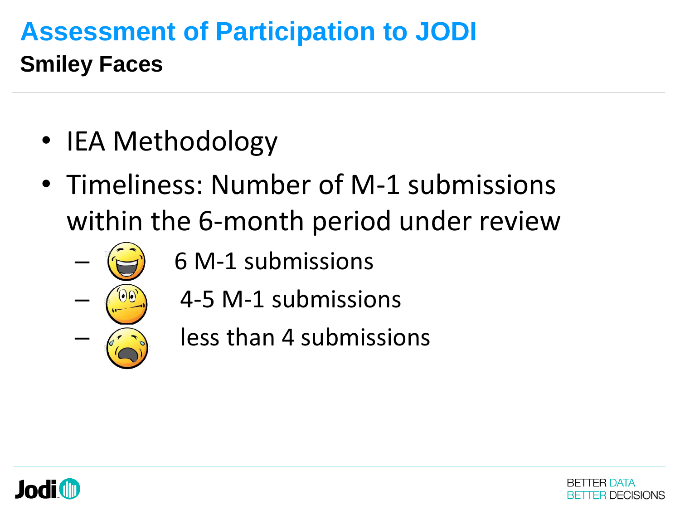- IEA Methodology
- Timeliness: Number of M-1 submissions within the 6-month period under review
	- 6 M-1 submissions
		- 4-5 M-1 submissions
		- less than 4 submissions



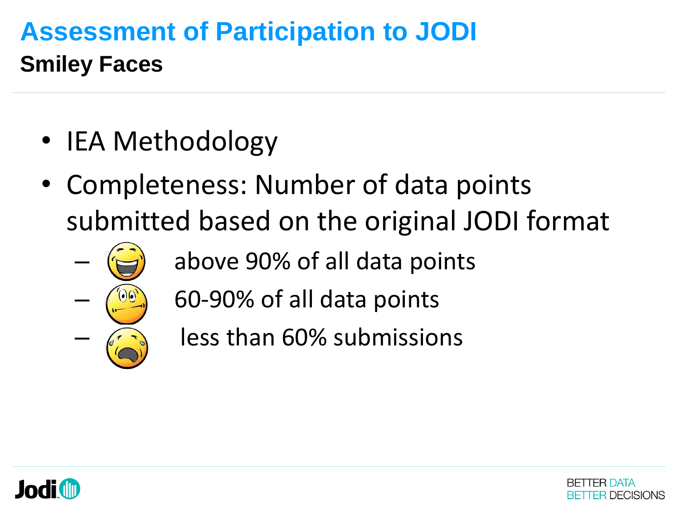- IEA Methodology
- Completeness: Number of data points submitted based on the original JODI format
	- above 90% of all data points
	- 60-90% of all data points
		- less than 60% submissions



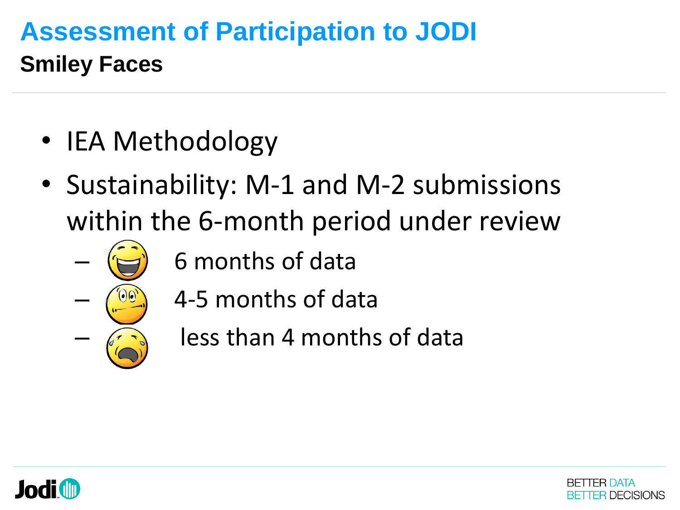- IEA Methodology
- Sustainability: M-1 and M-2 submissions within the 6-month period under review
	- 6 months of data
		- 4-5 months of data
		- less than 4 months of data



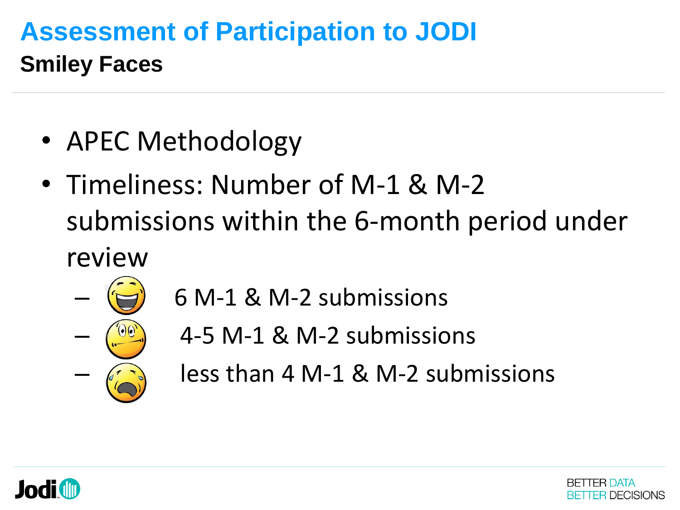- APEC Methodology
- Timeliness: Number of M-1 & M-2 submissions within the 6-month period under review



- 6 M-1 & M-2 submissions
	- 4-5 M-1 & M-2 submissions
- less than 4 M-1 & M-2 submissions



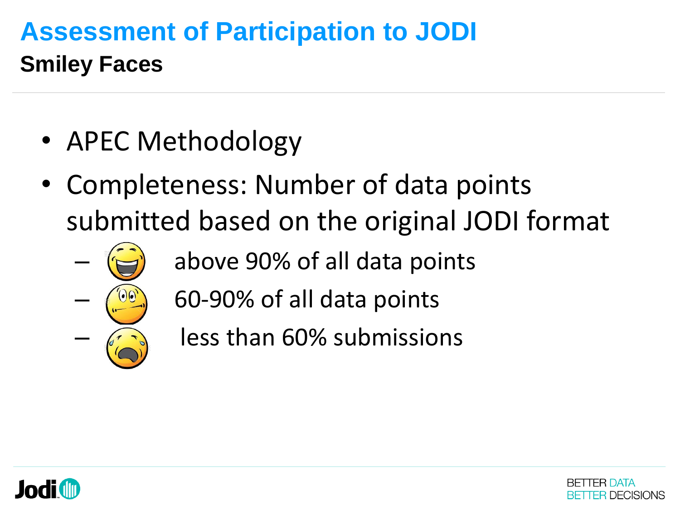- APEC Methodology
- Completeness: Number of data points submitted based on the original JODI format
	- above 90% of all data points
	- 60-90% of all data points
	- less than 60% submissions



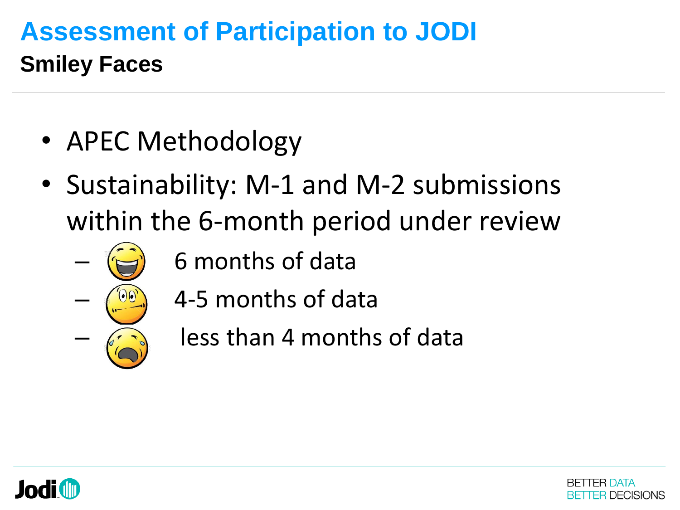- APEC Methodology
- Sustainability: M-1 and M-2 submissions within the 6-month period under review
	- 6 months of data
		- 4-5 months of data
		- less than 4 months of data



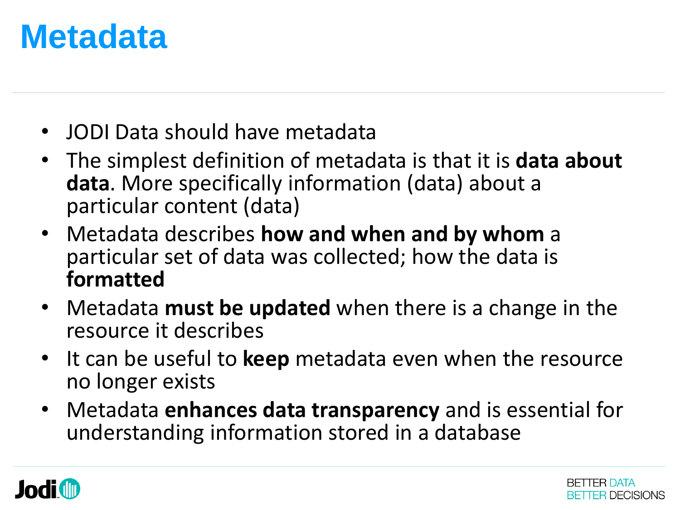## **Metadata**

- JODI Data should have metadata
- The simplest definition of metadata is that it is **data about data**. More specifically information (data) about a particular content (data)
- Metadata describes **how and when and by whom** a particular set of data was collected; how the data is **formatted**
- Metadata **must be updated** when there is a change in the resource it describes
- It can be useful to **keep** metadata even when the resource no longer exists
- Metadata **enhances data transparency** and is essential for understanding information stored in a database



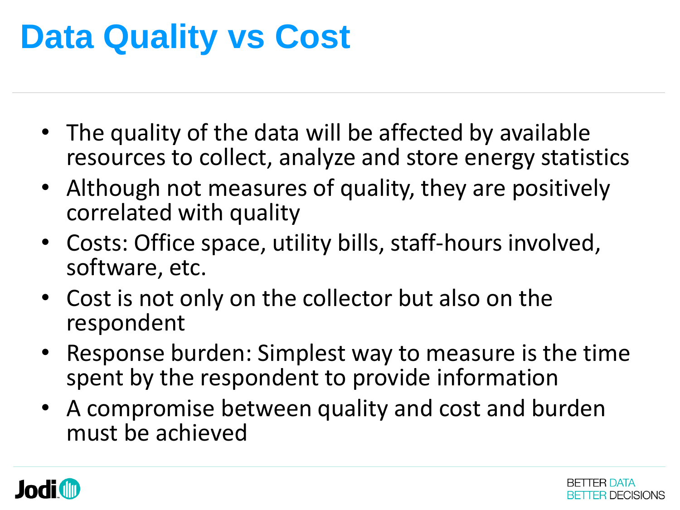# **Data Quality vs Cost**

- The quality of the data will be affected by available resources to collect, analyze and store energy statistics
- Although not measures of quality, they are positively correlated with quality
- Costs: Office space, utility bills, staff-hours involved, software, etc.
- Cost is not only on the collector but also on the respondent
- Response burden: Simplest way to measure is the time spent by the respondent to provide information
- A compromise between quality and cost and burden must be achieved



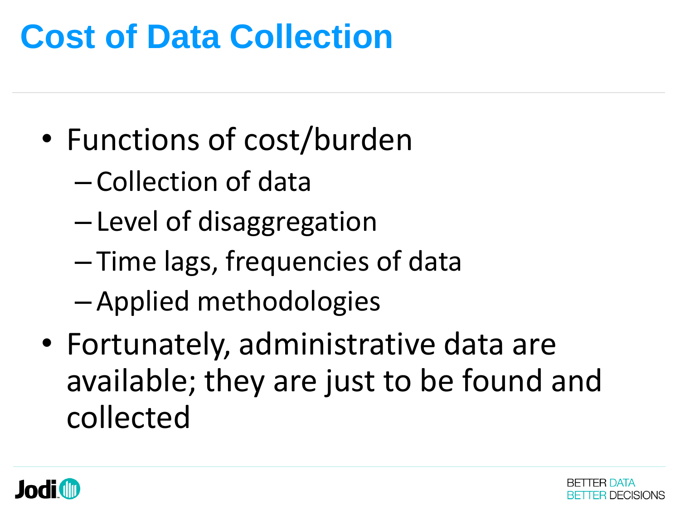# **Cost of Data Collection**

- Functions of cost/burden
	- Collection of data
	- Level of disaggregation
	- Time lags, frequencies of data
	- Applied methodologies
- Fortunately, administrative data are available; they are just to be found and collected